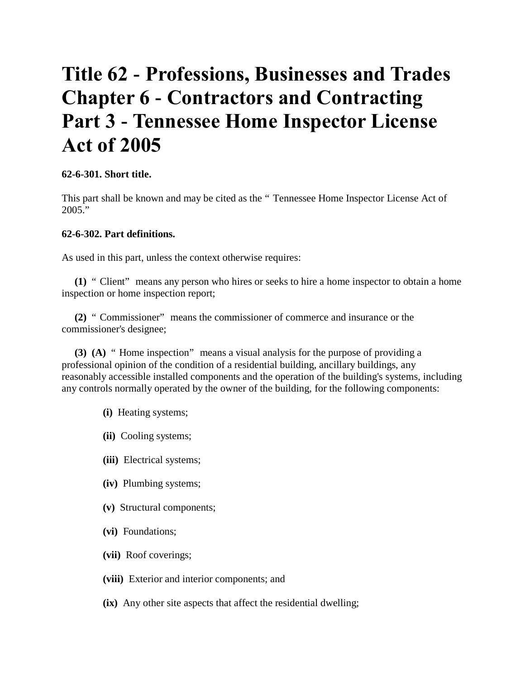# **Title 62 - Professions, Businesses and Trades Chapter 6 - Contractors and Contracting Part 3 - Tennessee Home Inspector License Act of 2005**

#### **62-6-301. Short title.**

This part shall be known and may be cited as the " Tennessee Home Inspector License Act of 2005."

#### **62-6-302. Part definitions.**

As used in this part, unless the context otherwise requires:

**(1)** " Client" means any person who hires or seeks to hire a home inspector to obtain a home inspection or home inspection report;

**(2)** " Commissioner" means the commissioner of commerce and insurance or the commissioner's designee;

**(3) (A)** " Home inspection" means a visual analysis for the purpose of providing a professional opinion of the condition of a residential building, ancillary buildings, any reasonably accessible installed components and the operation of the building's systems, including any controls normally operated by the owner of the building, for the following components:

- **(i)** Heating systems;
- **(ii)** Cooling systems;
- **(iii)** Electrical systems;
- **(iv)** Plumbing systems;
- **(v)** Structural components;
- **(vi)** Foundations;
- **(vii)** Roof coverings;
- **(viii)** Exterior and interior components; and
- **(ix)** Any other site aspects that affect the residential dwelling;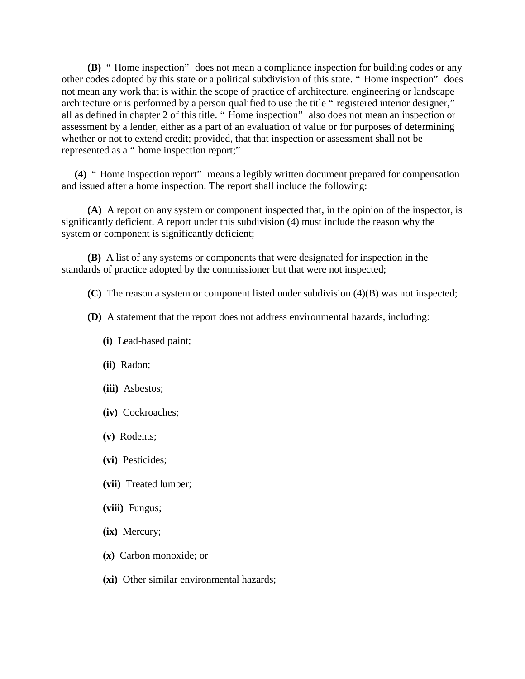**(B)** " Home inspection" does not mean a compliance inspection for building codes or any other codes adopted by this state or a political subdivision of this state. " Home inspection" does not mean any work that is within the scope of practice of architecture, engineering or landscape architecture or is performed by a person qualified to use the title " registered interior designer," all as defined in chapter 2 of this title. " Home inspection" also does not mean an inspection or assessment by a lender, either as a part of an evaluation of value or for purposes of determining whether or not to extend credit; provided, that that inspection or assessment shall not be represented as a " home inspection report;"

**(4)** " Home inspection report" means a legibly written document prepared for compensation and issued after a home inspection. The report shall include the following:

 **(A)** A report on any system or component inspected that, in the opinion of the inspector, is significantly deficient. A report under this subdivision (4) must include the reason why the system or component is significantly deficient;

 **(B)** A list of any systems or components that were designated for inspection in the standards of practice adopted by the commissioner but that were not inspected;

**(C)** The reason a system or component listed under subdivision (4)(B) was not inspected;

- **(D)** A statement that the report does not address environmental hazards, including:
	- **(i)** Lead-based paint;
	- **(ii)** Radon;
	- **(iii)** Asbestos;
	- **(iv)** Cockroaches;
	- **(v)** Rodents;
	- **(vi)** Pesticides;
	- **(vii)** Treated lumber;
	- **(viii)** Fungus;
	- **(ix)** Mercury;
	- **(x)** Carbon monoxide; or
	- **(xi)** Other similar environmental hazards;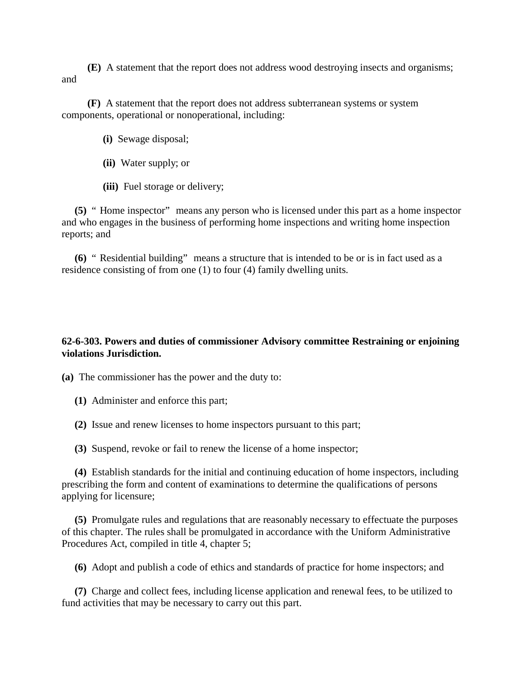**(E)** A statement that the report does not address wood destroying insects and organisms; and

 **(F)** A statement that the report does not address subterranean systems or system components, operational or nonoperational, including:

- **(i)** Sewage disposal;
- **(ii)** Water supply; or
- **(iii)** Fuel storage or delivery;

**(5)** " Home inspector" means any person who is licensed under this part as a home inspector and who engages in the business of performing home inspections and writing home inspection reports; and

**(6)** " Residential building" means a structure that is intended to be or is in fact used as a residence consisting of from one (1) to four (4) family dwelling units.

### **62-6-303. Powers and duties of commissioner Advisory committee Restraining or enjoining violations Jurisdiction.**

**(a)** The commissioner has the power and the duty to:

- **(1)** Administer and enforce this part;
- **(2)** Issue and renew licenses to home inspectors pursuant to this part;

**(3)** Suspend, revoke or fail to renew the license of a home inspector;

**(4)** Establish standards for the initial and continuing education of home inspectors, including prescribing the form and content of examinations to determine the qualifications of persons applying for licensure;

**(5)** Promulgate rules and regulations that are reasonably necessary to effectuate the purposes of this chapter. The rules shall be promulgated in accordance with the Uniform Administrative Procedures Act, compiled in title 4, chapter 5;

**(6)** Adopt and publish a code of ethics and standards of practice for home inspectors; and

**(7)** Charge and collect fees, including license application and renewal fees, to be utilized to fund activities that may be necessary to carry out this part.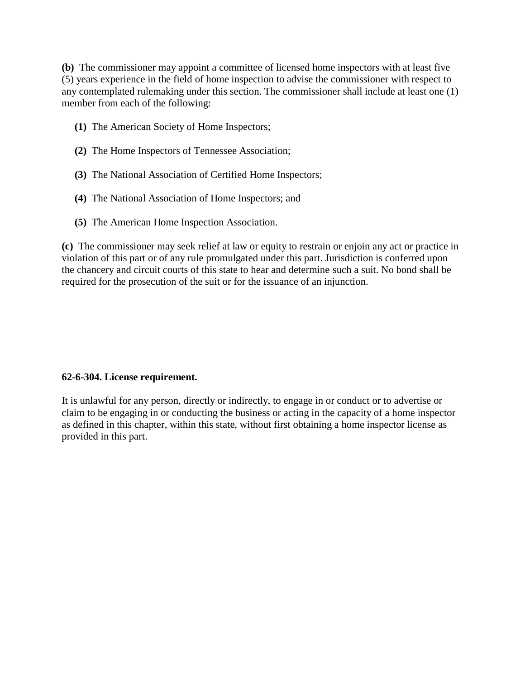**(b)** The commissioner may appoint a committee of licensed home inspectors with at least five (5) years experience in the field of home inspection to advise the commissioner with respect to any contemplated rulemaking under this section. The commissioner shall include at least one (1) member from each of the following:

- **(1)** The American Society of Home Inspectors;
- **(2)** The Home Inspectors of Tennessee Association;
- **(3)** The National Association of Certified Home Inspectors;
- **(4)** The National Association of Home Inspectors; and
- **(5)** The American Home Inspection Association.

**(c)** The commissioner may seek relief at law or equity to restrain or enjoin any act or practice in violation of this part or of any rule promulgated under this part. Jurisdiction is conferred upon the chancery and circuit courts of this state to hear and determine such a suit. No bond shall be required for the prosecution of the suit or for the issuance of an injunction.

#### **62-6-304. License requirement.**

It is unlawful for any person, directly or indirectly, to engage in or conduct or to advertise or claim to be engaging in or conducting the business or acting in the capacity of a home inspector as defined in this chapter, within this state, without first obtaining a home inspector license as provided in this part.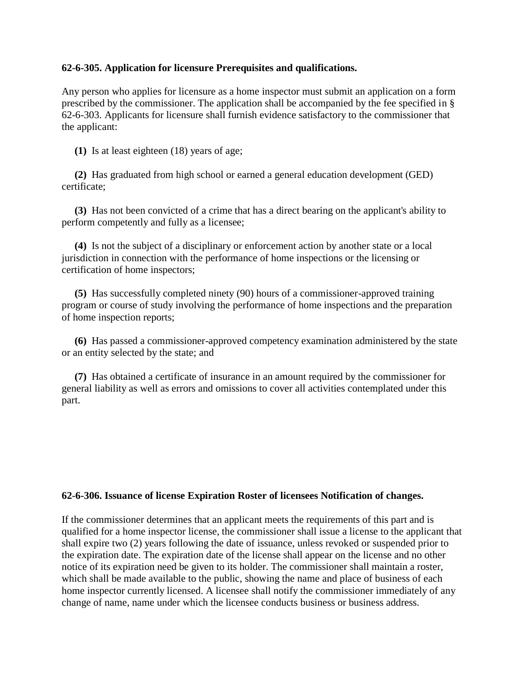#### **62-6-305. Application for licensure Prerequisites and qualifications.**

Any person who applies for licensure as a home inspector must submit an application on a form prescribed by the commissioner. The application shall be accompanied by the fee specified in § 62-6-303. Applicants for licensure shall furnish evidence satisfactory to the commissioner that the applicant:

**(1)** Is at least eighteen (18) years of age;

**(2)** Has graduated from high school or earned a general education development (GED) certificate;

**(3)** Has not been convicted of a crime that has a direct bearing on the applicant's ability to perform competently and fully as a licensee;

**(4)** Is not the subject of a disciplinary or enforcement action by another state or a local jurisdiction in connection with the performance of home inspections or the licensing or certification of home inspectors;

**(5)** Has successfully completed ninety (90) hours of a commissioner-approved training program or course of study involving the performance of home inspections and the preparation of home inspection reports;

**(6)** Has passed a commissioner-approved competency examination administered by the state or an entity selected by the state; and

**(7)** Has obtained a certificate of insurance in an amount required by the commissioner for general liability as well as errors and omissions to cover all activities contemplated under this part.

#### **62-6-306. Issuance of license Expiration Roster of licensees Notification of changes.**

If the commissioner determines that an applicant meets the requirements of this part and is qualified for a home inspector license, the commissioner shall issue a license to the applicant that shall expire two (2) years following the date of issuance, unless revoked or suspended prior to the expiration date. The expiration date of the license shall appear on the license and no other notice of its expiration need be given to its holder. The commissioner shall maintain a roster, which shall be made available to the public, showing the name and place of business of each home inspector currently licensed. A licensee shall notify the commissioner immediately of any change of name, name under which the licensee conducts business or business address.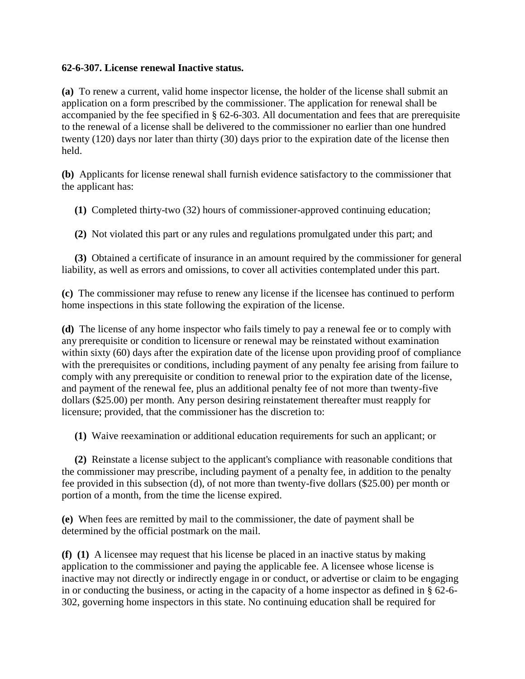## **62-6-307. License renewal Inactive status.**

**(a)** To renew a current, valid home inspector license, the holder of the license shall submit an application on a form prescribed by the commissioner. The application for renewal shall be accompanied by the fee specified in § 62-6-303. All documentation and fees that are prerequisite to the renewal of a license shall be delivered to the commissioner no earlier than one hundred twenty (120) days nor later than thirty (30) days prior to the expiration date of the license then held.

**(b)** Applicants for license renewal shall furnish evidence satisfactory to the commissioner that the applicant has:

**(1)** Completed thirty-two (32) hours of commissioner-approved continuing education;

**(2)** Not violated this part or any rules and regulations promulgated under this part; and

**(3)** Obtained a certificate of insurance in an amount required by the commissioner for general liability, as well as errors and omissions, to cover all activities contemplated under this part.

**(c)** The commissioner may refuse to renew any license if the licensee has continued to perform home inspections in this state following the expiration of the license.

**(d)** The license of any home inspector who fails timely to pay a renewal fee or to comply with any prerequisite or condition to licensure or renewal may be reinstated without examination within sixty (60) days after the expiration date of the license upon providing proof of compliance with the prerequisites or conditions, including payment of any penalty fee arising from failure to comply with any prerequisite or condition to renewal prior to the expiration date of the license, and payment of the renewal fee, plus an additional penalty fee of not more than twenty-five dollars (\$25.00) per month. Any person desiring reinstatement thereafter must reapply for licensure; provided, that the commissioner has the discretion to:

**(1)** Waive reexamination or additional education requirements for such an applicant; or

**(2)** Reinstate a license subject to the applicant's compliance with reasonable conditions that the commissioner may prescribe, including payment of a penalty fee, in addition to the penalty fee provided in this subsection (d), of not more than twenty-five dollars (\$25.00) per month or portion of a month, from the time the license expired.

**(e)** When fees are remitted by mail to the commissioner, the date of payment shall be determined by the official postmark on the mail.

**(f) (1)** A licensee may request that his license be placed in an inactive status by making application to the commissioner and paying the applicable fee. A licensee whose license is inactive may not directly or indirectly engage in or conduct, or advertise or claim to be engaging in or conducting the business, or acting in the capacity of a home inspector as defined in § 62-6- 302, governing home inspectors in this state. No continuing education shall be required for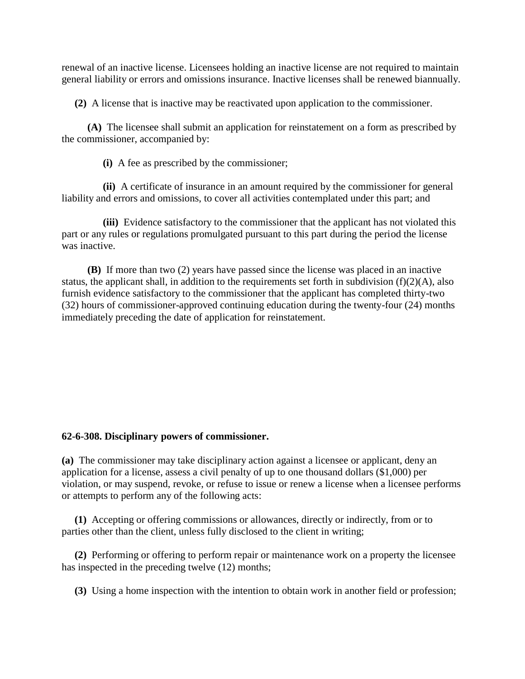renewal of an inactive license. Licensees holding an inactive license are not required to maintain general liability or errors and omissions insurance. Inactive licenses shall be renewed biannually.

**(2)** A license that is inactive may be reactivated upon application to the commissioner.

 **(A)** The licensee shall submit an application for reinstatement on a form as prescribed by the commissioner, accompanied by:

**(i)** A fee as prescribed by the commissioner;

 **(ii)** A certificate of insurance in an amount required by the commissioner for general liability and errors and omissions, to cover all activities contemplated under this part; and

 **(iii)** Evidence satisfactory to the commissioner that the applicant has not violated this part or any rules or regulations promulgated pursuant to this part during the period the license was inactive.

 **(B)** If more than two (2) years have passed since the license was placed in an inactive status, the applicant shall, in addition to the requirements set forth in subdivision  $(f)(2)(A)$ , also furnish evidence satisfactory to the commissioner that the applicant has completed thirty-two (32) hours of commissioner-approved continuing education during the twenty-four (24) months immediately preceding the date of application for reinstatement.

#### **62-6-308. Disciplinary powers of commissioner.**

**(a)** The commissioner may take disciplinary action against a licensee or applicant, deny an application for a license, assess a civil penalty of up to one thousand dollars (\$1,000) per violation, or may suspend, revoke, or refuse to issue or renew a license when a licensee performs or attempts to perform any of the following acts:

**(1)** Accepting or offering commissions or allowances, directly or indirectly, from or to parties other than the client, unless fully disclosed to the client in writing;

**(2)** Performing or offering to perform repair or maintenance work on a property the licensee has inspected in the preceding twelve (12) months;

**(3)** Using a home inspection with the intention to obtain work in another field or profession;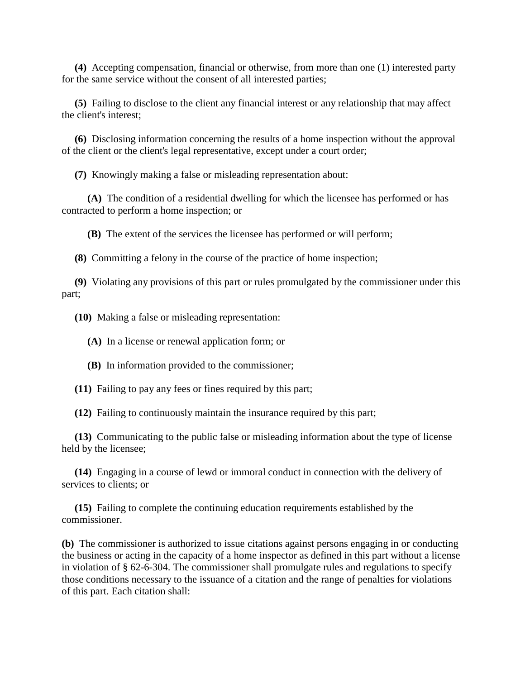**(4)** Accepting compensation, financial or otherwise, from more than one (1) interested party for the same service without the consent of all interested parties;

**(5)** Failing to disclose to the client any financial interest or any relationship that may affect the client's interest;

**(6)** Disclosing information concerning the results of a home inspection without the approval of the client or the client's legal representative, except under a court order;

**(7)** Knowingly making a false or misleading representation about:

 **(A)** The condition of a residential dwelling for which the licensee has performed or has contracted to perform a home inspection; or

**(B)** The extent of the services the licensee has performed or will perform;

**(8)** Committing a felony in the course of the practice of home inspection;

**(9)** Violating any provisions of this part or rules promulgated by the commissioner under this part;

**(10)** Making a false or misleading representation:

**(A)** In a license or renewal application form; or

**(B)** In information provided to the commissioner;

**(11)** Failing to pay any fees or fines required by this part;

**(12)** Failing to continuously maintain the insurance required by this part;

**(13)** Communicating to the public false or misleading information about the type of license held by the licensee;

**(14)** Engaging in a course of lewd or immoral conduct in connection with the delivery of services to clients; or

**(15)** Failing to complete the continuing education requirements established by the commissioner.

**(b)** The commissioner is authorized to issue citations against persons engaging in or conducting the business or acting in the capacity of a home inspector as defined in this part without a license in violation of § 62-6-304. The commissioner shall promulgate rules and regulations to specify those conditions necessary to the issuance of a citation and the range of penalties for violations of this part. Each citation shall: